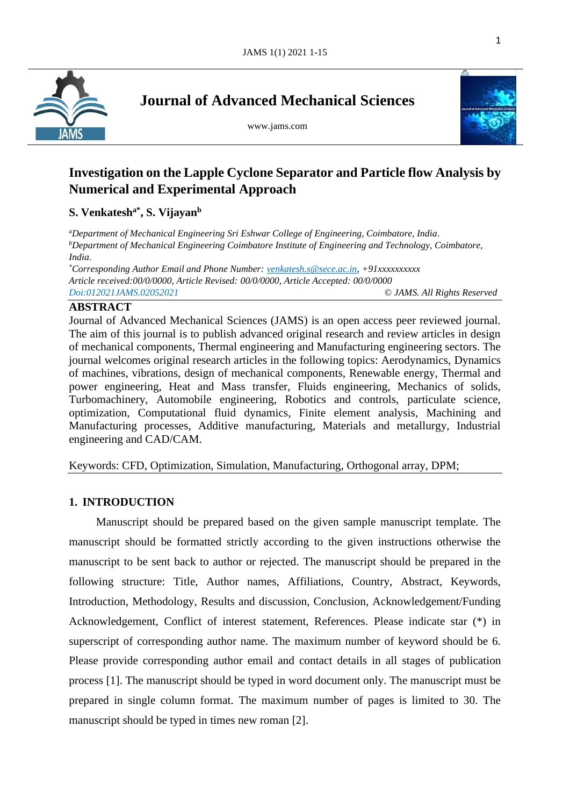

**Journal of Advanced Mechanical Sciences**

www.jams.com



l

# **Investigation on the Lapple Cyclone Separator and Particle flow Analysis by Numerical and Experimental Approach**

# **S. Venkatesha\*, S. Vijayan<sup>b</sup>**

*<sup>a</sup>Department of Mechanical Engineering Sri Eshwar College of Engineering, Coimbatore, India. <sup>b</sup>Department of Mechanical Engineering Coimbatore Institute of Engineering and Technology, Coimbatore, India. \*Corresponding Author Email and Phone Number: [venkatesh.s@sece.ac.in,](mailto:venkatesh.s@sece.ac.in) +91xxxxxxxxxx*

*Article received:00/0/0000, Article Revised: 00/0/0000, Article Accepted: 00/0/0000 Doi:012021JAMS.02052021* © *JAMS. All Rights Reserved*

# **ABSTRACT**

Journal of Advanced Mechanical Sciences (JAMS) is an open access peer reviewed journal. The aim of this journal is to publish advanced original research and review articles in design of mechanical components, Thermal engineering and Manufacturing engineering sectors. The journal welcomes original research articles in the following topics: Aerodynamics, Dynamics of machines, vibrations, design of mechanical components, Renewable energy, Thermal and power engineering, Heat and Mass transfer, Fluids engineering, Mechanics of solids, Turbomachinery, Automobile engineering, Robotics and controls, particulate science, optimization, Computational fluid dynamics, Finite element analysis, Machining and Manufacturing processes, Additive manufacturing, Materials and metallurgy, Industrial engineering and CAD/CAM.

Keywords: CFD, Optimization, Simulation, Manufacturing, Orthogonal array, DPM;

# **1. INTRODUCTION**

Manuscript should be prepared based on the given sample manuscript template. The manuscript should be formatted strictly according to the given instructions otherwise the manuscript to be sent back to author or rejected. The manuscript should be prepared in the following structure: Title, Author names, Affiliations, Country, Abstract, Keywords, Introduction, Methodology, Results and discussion, Conclusion, Acknowledgement/Funding Acknowledgement, Conflict of interest statement, References. Please indicate star (\*) in superscript of corresponding author name. The maximum number of keyword should be 6. Please provide corresponding author email and contact details in all stages of publication process [1]. The manuscript should be typed in word document only. The manuscript must be prepared in single column format. The maximum number of pages is limited to 30. The manuscript should be typed in times new roman [2].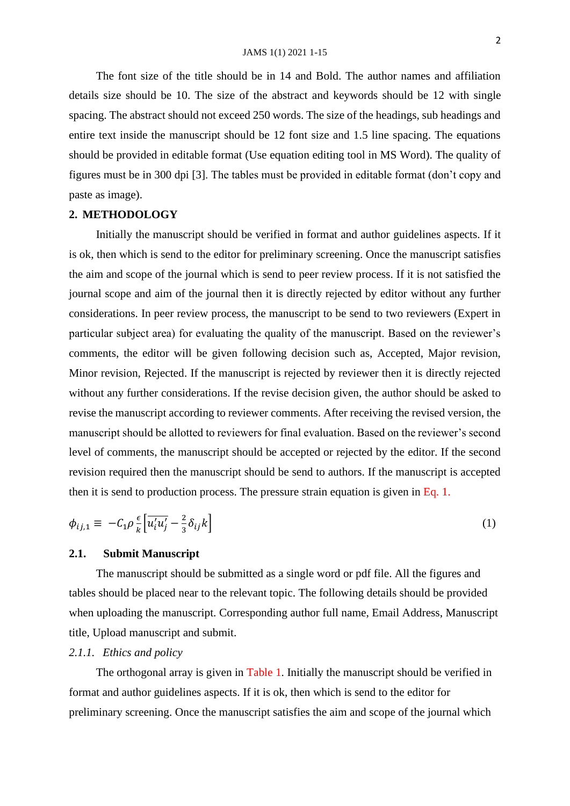The font size of the title should be in 14 and Bold. The author names and affiliation details size should be 10. The size of the abstract and keywords should be 12 with single spacing. The abstract should not exceed 250 words. The size of the headings, sub headings and entire text inside the manuscript should be 12 font size and 1.5 line spacing. The equations should be provided in editable format (Use equation editing tool in MS Word). The quality of figures must be in 300 dpi [3]. The tables must be provided in editable format (don't copy and paste as image).

## **2. METHODOLOGY**

Initially the manuscript should be verified in format and author guidelines aspects. If it is ok, then which is send to the editor for preliminary screening. Once the manuscript satisfies the aim and scope of the journal which is send to peer review process. If it is not satisfied the journal scope and aim of the journal then it is directly rejected by editor without any further considerations. In peer review process, the manuscript to be send to two reviewers (Expert in particular subject area) for evaluating the quality of the manuscript. Based on the reviewer's comments, the editor will be given following decision such as, Accepted, Major revision, Minor revision, Rejected. If the manuscript is rejected by reviewer then it is directly rejected without any further considerations. If the revise decision given, the author should be asked to revise the manuscript according to reviewer comments. After receiving the revised version, the manuscript should be allotted to reviewers for final evaluation. Based on the reviewer's second level of comments, the manuscript should be accepted or rejected by the editor. If the second revision required then the manuscript should be send to authors. If the manuscript is accepted then it is send to production process. The pressure strain equation is given in Eq. 1.

$$
\phi_{ij,1} \equiv -C_1 \rho \frac{\epsilon}{k} \left[ \overline{u_i' u_j'} - \frac{2}{3} \delta_{ij} k \right] \tag{1}
$$

#### **2.1. Submit Manuscript**

The manuscript should be submitted as a single word or pdf file. All the figures and tables should be placed near to the relevant topic. The following details should be provided when uploading the manuscript. Corresponding author full name, Email Address, Manuscript title, Upload manuscript and submit.

## *2.1.1. Ethics and policy*

The orthogonal array is given in Table 1. Initially the manuscript should be verified in format and author guidelines aspects. If it is ok, then which is send to the editor for preliminary screening. Once the manuscript satisfies the aim and scope of the journal which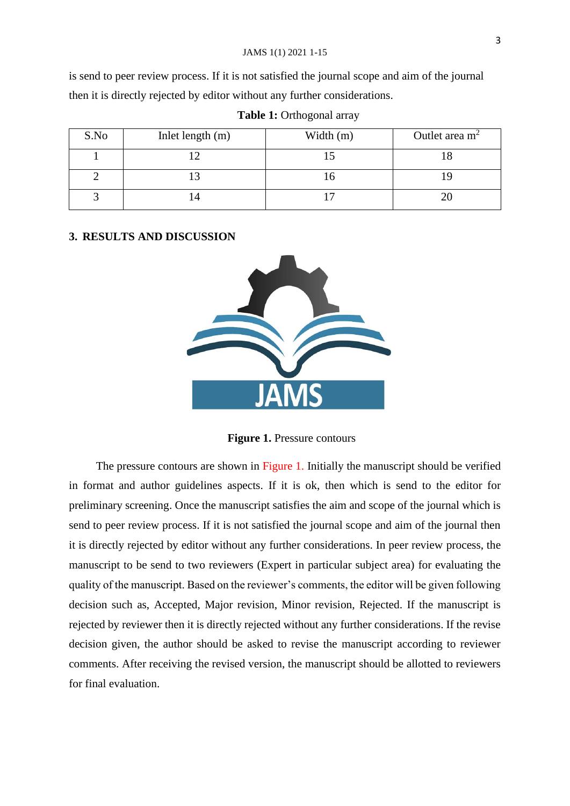is send to peer review process. If it is not satisfied the journal scope and aim of the journal then it is directly rejected by editor without any further considerations.

| S.No | Inlet length (m) | Width (m) | Outlet area $m2$ |
|------|------------------|-----------|------------------|
|      |                  |           |                  |
|      |                  |           |                  |
|      | 4                |           |                  |

**Table 1:** Orthogonal array

### **3. RESULTS AND DISCUSSION**



**Figure 1.** Pressure contours

The pressure contours are shown in Figure 1. Initially the manuscript should be verified in format and author guidelines aspects. If it is ok, then which is send to the editor for preliminary screening. Once the manuscript satisfies the aim and scope of the journal which is send to peer review process. If it is not satisfied the journal scope and aim of the journal then it is directly rejected by editor without any further considerations. In peer review process, the manuscript to be send to two reviewers (Expert in particular subject area) for evaluating the quality of the manuscript. Based on the reviewer's comments, the editor will be given following decision such as, Accepted, Major revision, Minor revision, Rejected. If the manuscript is rejected by reviewer then it is directly rejected without any further considerations. If the revise decision given, the author should be asked to revise the manuscript according to reviewer comments. After receiving the revised version, the manuscript should be allotted to reviewers for final evaluation.